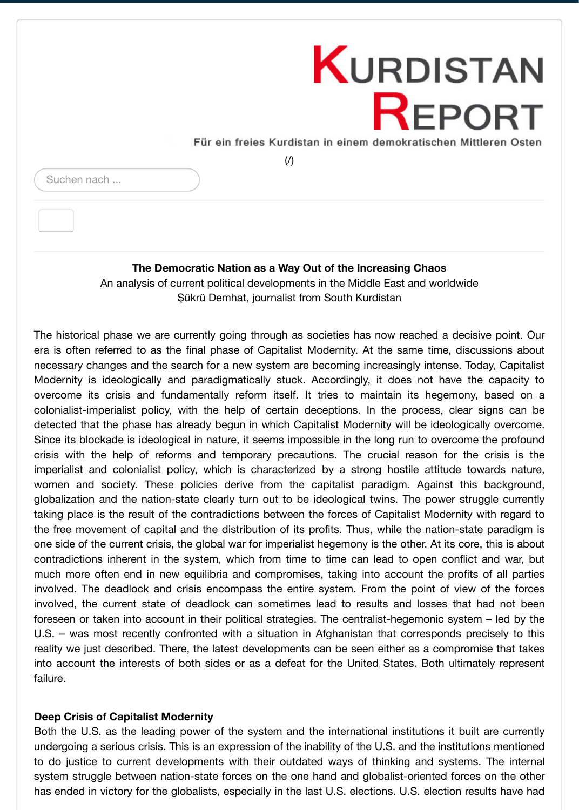# **The Democratic Nation as a Way Out of the Increasing Chaos**

[An analysis of current political developments in the Middle East and worldwide](http://www.kurdistan-report.de/) Şükrü Demhat, journalist from South Kurdistan

The historical phase we are currently going through as societies has now reached a decisive pot era is often referred to as the final phase of Capitalist Modernity. At the same time, discussion necessary changes and the search for a new system are becoming increasingly intense. Today, C Modernity is ideologically and paradigmatically stuck. Accordingly, it does not have the cap overcome its crisis and fundamentally reform itself. It tries to maintain its hegemony, base colonialist-imperialist policy, with the help of certain deceptions. In the process, clear signs detected that the phase has already begun in which Capitalist Modernity will be ideologically over Since its blockade is ideological in nature, it seems impossible in the long run to overcome the p crisis with the help of reforms and temporary precautions. The crucial reason for the crisis imperialist and colonialist policy, which is characterized by a strong hostile attitude towards women and society. These policies derive from the capitalist paradigm. Against this back globalization and the nation-state clearly turn out to be ideological twins. The power struggle out taking place is the result of the contradictions between the forces of Capitalist Modernity with re the free movement of capital and the distribution of its profits. Thus, while the nation-state para one side of the current crisis, the global war for imperialist hegemony is the other. At its core, this is contradictions inherent in the system, which from time to time can lead to open conflict and v much more often end in new equilibria and compromises, taking into account the profits of all involved. The deadlock and crisis encompass the entire system. From the point of view of the involved, the current state of deadlock can sometimes lead to results and losses that had not foreseen or taken into account in their political strategies. The centralist-hegemonic system – led U.S. – was most recently confronted with a situation in Afghanistan that corresponds precisely reality we just described. There, the latest developments can be seen either as a compromise the into account the interests of both sides or as a defeat for the United States. Both ultimately re failure.

# **Deep Crisis of Capitalist Modernity**

Both the U.S. as the leading power of the system and the international institutions it built are c undergoing a serious crisis. This is an expression of the inability of the U.S. and the institutions me to do justice to current developments with their outdated ways of thinking and systems. The system struggle between nation-state forces on the one hand and globalist-oriented forces on the has ended in victory for the globalists, especially in the last U.S. elections. U.S. election results had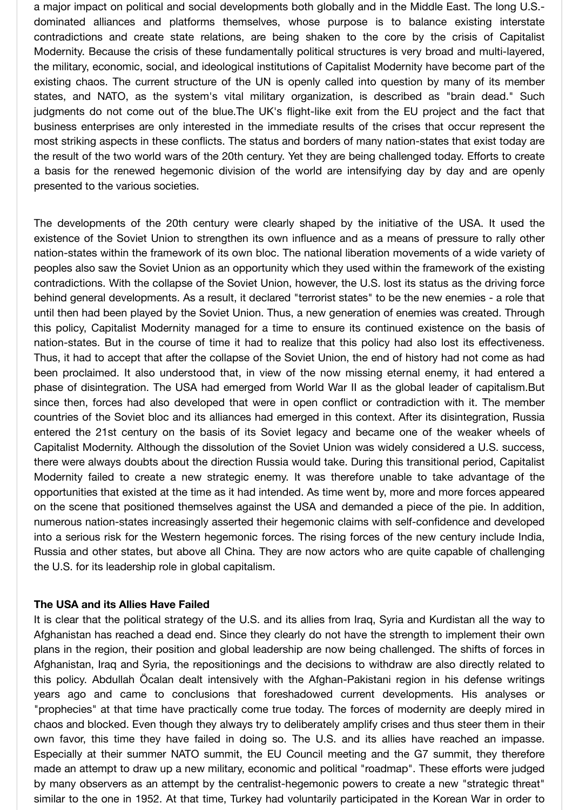a major impact on political and social developments both globally and in the Middle East. The long U.S. dominated alliances and platforms themselves, whose purpose is to balance existing interstate contradictions and create state relations, are being shaken to the core by the crisis of Capitalist Modernity. Because the crisis of these fundamentally political structures is very broad and multi-layered, the military, economic, social, and ideological institutions of Capitalist Modernity have become part of the existing chaos. The current structure of the UN is openly called into question by many of its member states, and NATO, as the system's vital military organization, is described as "brain dead." Such judgments do not come out of the blue.The UK's flight-like exit from the EU project and the fact that business enterprises are only interested in the immediate results of the crises that occur represent the most striking aspects in these conflicts. The status and borders of many nation-states that exist today are the result of the two world wars of the 20th century. Yet they are being challenged today. Efforts to create a basis for the renewed hegemonic division of the world are intensifying day by day and are openly presented to the various societies.

The developments of the 20th century were clearly shaped by the initiative of the USA. It used the existence of the Soviet Union to strengthen its own influence and as a means of pressure to rally other nation-states within the framework of its own bloc. The national liberation movements of a wide variety of peoples also saw the Soviet Union as an opportunity which they used within the framework of the existing contradictions. With the collapse of the Soviet Union, however, the U.S. lost its status as the driving force behind general developments. As a result, it declared "terrorist states" to be the new enemies - a role that until then had been played by the Soviet Union. Thus, a new generation of enemies was created. Through this policy, Capitalist Modernity managed for a time to ensure its continued existence on the basis of nation-states. But in the course of time it had to realize that this policy had also lost its effectiveness. Thus, it had to accept that after the collapse of the Soviet Union, the end of history had not come as had been proclaimed. It also understood that, in view of the now missing eternal enemy, it had entered a phase of disintegration. The USA had emerged from World War II as the global leader of capitalism.But since then, forces had also developed that were in open conflict or contradiction with it. The member countries of the Soviet bloc and its alliances had emerged in this context. After its disintegration, Russia entered the 21st century on the basis of its Soviet legacy and became one of the weaker wheels of Capitalist Modernity. Although the dissolution of the Soviet Union was widely considered a U.S. success, there were always doubts about the direction Russia would take. During this transitional period, Capitalist Modernity failed to create a new strategic enemy. It was therefore unable to take advantage of the opportunities that existed at the time as it had intended. As time went by, more and more forces appeared on the scene that positioned themselves against the USA and demanded a piece of the pie. In addition, numerous nation-states increasingly asserted their hegemonic claims with self-confidence and developed into a serious risk for the Western hegemonic forces. The rising forces of the new century include India, Russia and other states, but above all China. They are now actors who are quite capable of challenging the U.S. for its leadership role in global capitalism.

#### **The USA and its Allies Have Failed**

It is clear that the political strategy of the U.S. and its allies from Iraq, Syria and Kurdistan all the way to Afghanistan has reached a dead end. Since they clearly do not have the strength to implement their own plans in the region, their position and global leadership are now being challenged. The shifts of forces in Afghanistan, Iraq and Syria, the repositionings and the decisions to withdraw are also directly related to this policy. Abdullah Öcalan dealt intensively with the Afghan-Pakistani region in his defense writings years ago and came to conclusions that foreshadowed current developments. His analyses or "prophecies" at that time have practically come true today. The forces of modernity are deeply mired in chaos and blocked. Even though they always try to deliberately amplify crises and thus steer them in their own favor, this time they have failed in doing so. The U.S. and its allies have reached an impasse. Especially at their summer NATO summit, the EU Council meeting and the G7 summit, they therefore made an attempt to draw up a new military, economic and political "roadmap". These efforts were judged by many observers as an attempt by the centralist-hegemonic powers to create a new "strategic threat" similar to the one in 1952. At that time, Turkey had voluntarily participated in the Korean War in order to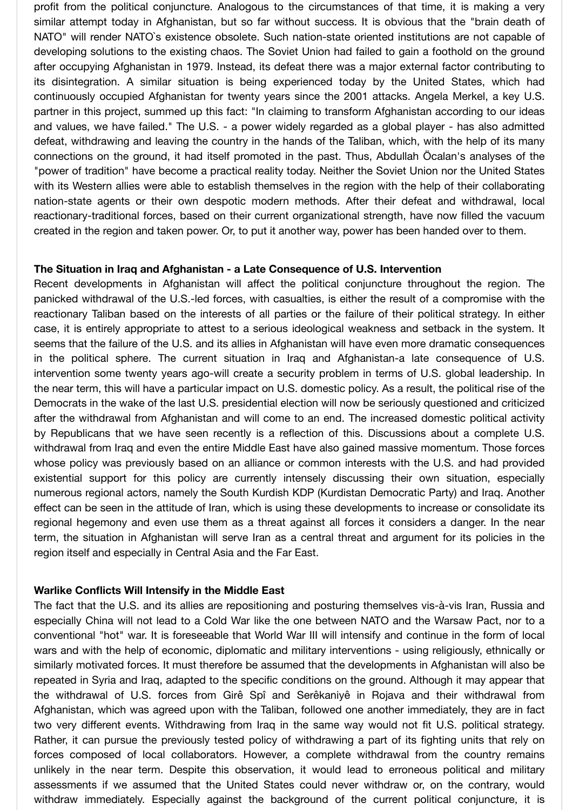profit from the political conjuncture. Analogous to the circumstances of that time, it is making a very similar attempt today in Afghanistan, but so far without success. It is obvious that the "brain death of NATO" will render NATO`s existence obsolete. Such nation-state oriented institutions are not capable of developing solutions to the existing chaos. The Soviet Union had failed to gain a foothold on the ground after occupying Afghanistan in 1979. Instead, its defeat there was a major external factor contributing to its disintegration. A similar situation is being experienced today by the United States, which had continuously occupied Afghanistan for twenty years since the 2001 attacks. Angela Merkel, a key U.S. partner in this project, summed up this fact: "In claiming to transform Afghanistan according to our ideas and values, we have failed." The U.S. - a power widely regarded as a global player - has also admitted defeat, withdrawing and leaving the country in the hands of the Taliban, which, with the help of its many connections on the ground, it had itself promoted in the past. Thus, Abdullah Öcalan's analyses of the "power of tradition" have become a practical reality today. Neither the Soviet Union nor the United States with its Western allies were able to establish themselves in the region with the help of their collaborating nation-state agents or their own despotic modern methods. After their defeat and withdrawal, local reactionary-traditional forces, based on their current organizational strength, have now filled the vacuum created in the region and taken power. Or, to put it another way, power has been handed over to them.

#### **The Situation in Iraq and Afghanistan - a Late Consequence of U.S. Intervention**

Recent developments in Afghanistan will affect the political conjuncture throughout the region. The panicked withdrawal of the U.S.-led forces, with casualties, is either the result of a compromise with the reactionary Taliban based on the interests of all parties or the failure of their political strategy. In either case, it is entirely appropriate to attest to a serious ideological weakness and setback in the system. It seems that the failure of the U.S. and its allies in Afghanistan will have even more dramatic consequences in the political sphere. The current situation in Iraq and Afghanistan-a late consequence of U.S. intervention some twenty years ago-will create a security problem in terms of U.S. global leadership. In the near term, this will have a particular impact on U.S. domestic policy. As a result, the political rise of the Democrats in the wake of the last U.S. presidential election will now be seriously questioned and criticized after the withdrawal from Afghanistan and will come to an end. The increased domestic political activity by Republicans that we have seen recently is a reflection of this. Discussions about a complete U.S. withdrawal from Iraq and even the entire Middle East have also gained massive momentum. Those forces whose policy was previously based on an alliance or common interests with the U.S. and had provided existential support for this policy are currently intensely discussing their own situation, especially numerous regional actors, namely the South Kurdish KDP (Kurdistan Democratic Party) and Iraq. Another effect can be seen in the attitude of Iran, which is using these developments to increase or consolidate its regional hegemony and even use them as a threat against all forces it considers a danger. In the near term, the situation in Afghanistan will serve Iran as a central threat and argument for its policies in the region itself and especially in Central Asia and the Far East.

#### **Warlike Conflicts Will Intensify in the Middle East**

The fact that the U.S. and its allies are repositioning and posturing themselves vis-à-vis Iran, Russia and especially China will not lead to a Cold War like the one between NATO and the Warsaw Pact, nor to a conventional "hot" war. It is foreseeable that World War III will intensify and continue in the form of local wars and with the help of economic, diplomatic and military interventions - using religiously, ethnically or similarly motivated forces. It must therefore be assumed that the developments in Afghanistan will also be repeated in Syria and Iraq, adapted to the specific conditions on the ground. Although it may appear that the withdrawal of U.S. forces from Girê Spî and Serêkaniyê in Rojava and their withdrawal from Afghanistan, which was agreed upon with the Taliban, followed one another immediately, they are in fact two very different events. Withdrawing from Iraq in the same way would not fit U.S. political strategy. Rather, it can pursue the previously tested policy of withdrawing a part of its fighting units that rely on forces composed of local collaborators. However, a complete withdrawal from the country remains unlikely in the near term. Despite this observation, it would lead to erroneous political and military assessments if we assumed that the United States could never withdraw or, on the contrary, would withdraw immediately. Especially against the background of the current political conjuncture, it is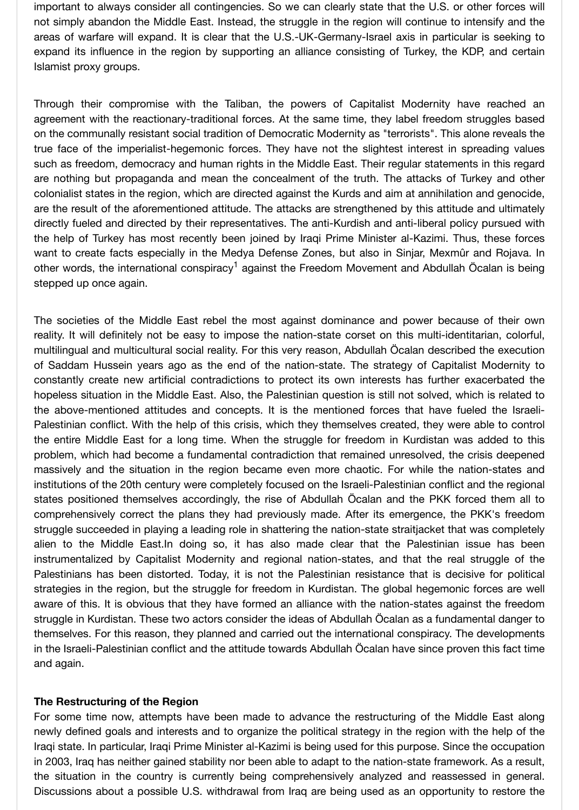true face of the imperialist-hegemonic forces. They have not the slightest interest in spreading values such as freedom, democracy and human rights in the Middle East. Their regular statements in this are nothing but propaganda and mean the concealment of the truth. The attacks of Turkey ar colonialist states in the region, which are directed against the Kurds and aim at annihilation and ge are the result of the aforementioned attitude. The attacks are strengthened by this attitude and ultimately directly fueled and directed by their representatives. The anti-Kurdish and anti-liberal policy pursue the help of Turkey has most recently been joined by Iraqi Prime Minister al-Kazimi. Thus, these want to create facts especially in the Medya Defense Zones, but also in Sinjar, Mexmûr and Ro other words, the international conspiracy<sup>1</sup> against the Freedom Movement and Abdullah Öcalan i stepped up once again.

The societies of the Middle East rebel the most against dominance and power because of th reality. It will definitely not be easy to impose the nation-state corset on this multi-identitarian, multilingual and multicultural social reality. For this very reason, Abdullah Öcalan described the ex of Saddam Hussein years ago as the end of the nation-state. The strategy of Capitalist Mode constantly create new artificial contradictions to protect its own interests has further exacerbated to protect hopeless situation in the Middle East. Also, the Palestinian question is still not solved, which is re the above-mentioned attitudes and concepts. It is the mentioned forces that have fueled the Palestinian [c](#page-6-0)onflict. With the help of this crisis, which they themselves created, they were able to the entire Middle East for a long time. When the struggle for freedom in Kurdistan was added problem, which had become a fundamental contradiction that remained unresolved, the crisis de massively and the situation in the region became even more chaotic. For while the nation-sta institutions of the 20th century were completely focused on the Israeli-Palestinian conflict and the states positioned themselves accordingly, the rise of Abdullah Ocalan and the PKK forced the comprehensively correct the plans they had previously made. After its emergence, the PKK's freedom struggle succeeded in playing a leading role in shattering the nation-state straitjacket that was cor alien to the Middle East.In doing so, it has also made clear that the Palestinian issue ha instrumentalized by Capitalist Modernity and regional nation-states, and that the real struggle Palestinians has been distorted. Today, it is not the Palestinian resistance that is decisive for strategies in the region, but the struggle for freedom in Kurdistan. The global hegemonic forces aware of this. It is obvious that they have formed an alliance with the nation-states against the f struggle in Kurdistan. These two actors consider the ideas of Abdullah Öcalan as a fundamental da themselves. For this reason, they planned and carried out the international conspiracy. The develop in the Israeli-Palestinian conflict and the attitude towards Abdullah Ocalan have since proven this fa and again.

# **The Restructuring of the Region**

For some time now, attempts have been made to advance the restructuring of the Middle East newly defined goals and interests and to organize the political strategy in the region with the hel Iraqi state. In particular, Iraqi Prime Minister al-Kazimi is being used for this purpose. Since the occ in 2003, Iraq has neither gained stability nor been able to adapt to the nation-state framework. As the situation in the country is currently being comprehensively analyzed and reassessed in Discussions about a possible U.S. withdrawal from Iraq are being used as an opportunity to res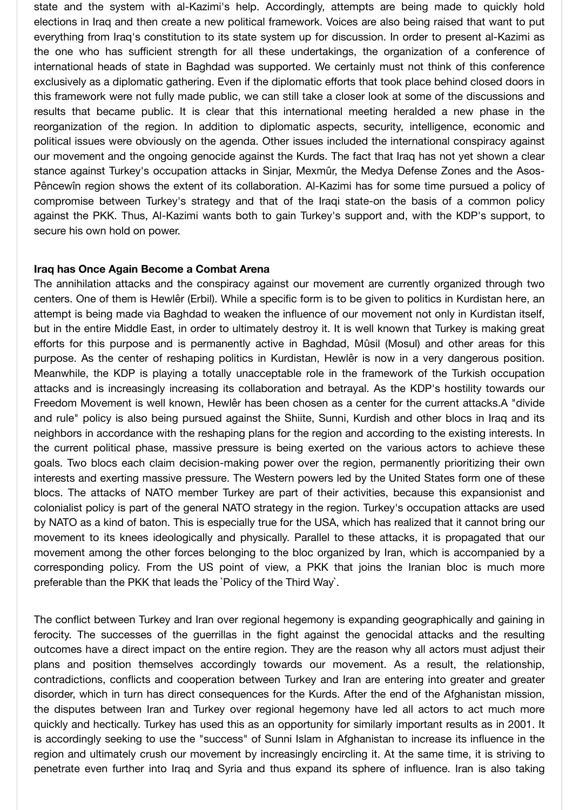state and the system with al-Kazimi's help. Accordingly, attempts are being made to quickly hold elections in Iraq and then create a new political framework. Voices are also being raised that want to put everything from Iraq's constitution to its state system up for discussion. In order to present al-Kazimi as the one who has sufficient strength for all these undertakings, the organization of a conference of international heads of state in Baghdad was supported. We certainly must not think of this conference exclusively as a diplomatic gathering. Even if the diplomatic efforts that took place behind closed doors in this framework were not fully made public, we can still take a closer look at some of the discussions and results that became public. It is clear that this international meeting heralded a new phase in the reorganization of the region. In addition to diplomatic aspects, security, intelligence, economic and political issues were obviously on the agenda. Other issues included the international conspiracy against our movement and the ongoing genocide against the Kurds. The fact that Iraq has not yet shown a clear stance against Turkey's occupation attacks in Sinjar, Mexmûr, the Medya Defense Zones and the Asos-Pêncewîn region shows the extent of its collaboration. Al-Kazimi has for some time pursued a policy of compromise between Turkey's strategy and that of the Iraqi state-on the basis of a common policy against the PKK. Thus, Al-Kazimi wants both to gain Turkey's support and, with the KDP's support, to secure his own hold on power.

# **Iraq has Once Again Become a Combat Arena**

The annihilation attacks and the conspiracy against our movement are currently organized through two centers. One of them is Hewlêr (Erbil). While a specific form is to be given to politics in Kurdistan here, an attempt is being made via Baghdad to weaken the influence of our movement not only in Kurdistan itself, but in the entire Middle East, in order to ultimately destroy it. It is well known that Turkey is making great efforts for this purpose and is permanently active in Baghdad, Mûsil (Mosul) and other areas for this purpose. As the center of reshaping politics in Kurdistan, Hewlêr is now in a very dangerous position. Meanwhile, the KDP is playing a totally unacceptable role in the framework of the Turkish occupation attacks and is increasingly increasing its collaboration and betrayal. As the KDP's hostility towards our Freedom Movement is well known, Hewlêr has been chosen as a center for the current attacks.A "divide and rule" policy is also being pursued against the Shiite, Sunni, Kurdish and other blocs in Iraq and its neighbors in accordance with the reshaping plans for the region and according to the existing interests. In the current political phase, massive pressure is being exerted on the various actors to achieve these goals. Two blocs each claim decision-making power over the region, permanently prioritizing their own interests and exerting massive pressure. The Western powers led by the United States form one of these blocs. The attacks of NATO member Turkey are part of their activities, because this expansionist and colonialist policy is part of the general NATO strategy in the region. Turkey's occupation attacks are used by NATO as a kind of baton. This is especially true for the USA, which has realized that it cannot bring our movement to its knees ideologically and physically. Parallel to these attacks, it is propagated that our movement among the other forces belonging to the bloc organized by Iran, which is accompanied by a corresponding policy. From the US point of view, a PKK that joins the Iranian bloc is much more preferable than the PKK that leads the `Policy of the Third Way`.

The conflict between Turkey and Iran over regional hegemony is expanding geographically and gaining in ferocity. The successes of the guerrillas in the fight against the genocidal attacks and the resulting outcomes have a direct impact on the entire region. They are the reason why all actors must adjust their plans and position themselves accordingly towards our movement. As a result, the relationship, contradictions, conflicts and cooperation between Turkey and Iran are entering into greater and greater disorder, which in turn has direct consequences for the Kurds. After the end of the Afghanistan mission, the disputes between Iran and Turkey over regional hegemony have led all actors to act much more quickly and hectically. Turkey has used this as an opportunity for similarly important results as in 2001. It is accordingly seeking to use the "success" of Sunni Islam in Afghanistan to increase its influence in the region and ultimately crush our movement by increasingly encircling it. At the same time, it is striving to penetrate even further into Iraq and Syria and thus expand its sphere of influence. Iran is also taking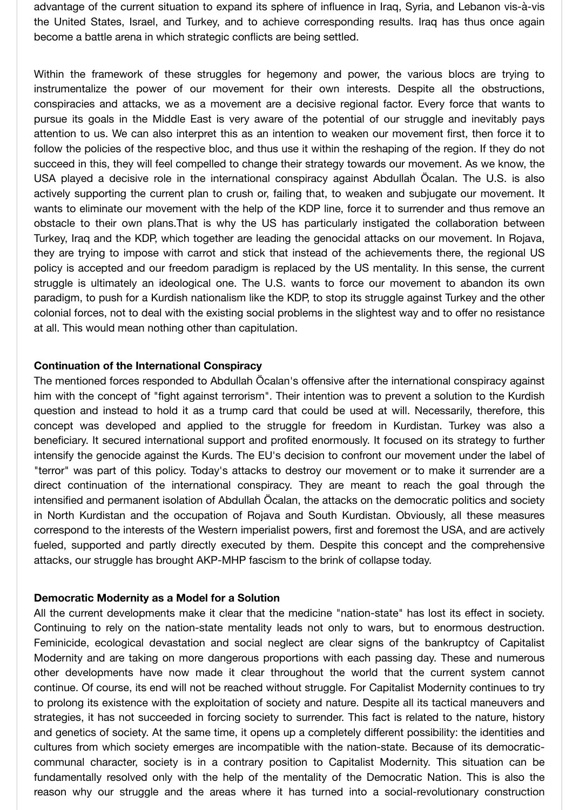advantage of the current situation to expand its sphere of influence in Iraq, Syria, and Lebanon vis-à-vis the United States, Israel, and Turkey, and to achieve corresponding results. Iraq has thus once again become a battle arena in which strategic conflicts are being settled.

Within the framework of these struggles for hegemony and power, the various blocs are trying to instrumentalize the power of our movement for their own interests. Despite all the obstructions, conspiracies and attacks, we as a movement are a decisive regional factor. Every force that wants to pursue its goals in the Middle East is very aware of the potential of our struggle and inevitably pays attention to us. We can also interpret this as an intention to weaken our movement first, then force it to follow the policies of the respective bloc, and thus use it within the reshaping of the region. If they do not succeed in this, they will feel compelled to change their strategy towards our movement. As we know, the USA played a decisive role in the international conspiracy against Abdullah Öcalan. The U.S. is also actively supporting the current plan to crush or, failing that, to weaken and subjugate our movement. It wants to eliminate our movement with the help of the KDP line, force it to surrender and thus remove an obstacle to their own plans.That is why the US has particularly instigated the collaboration between Turkey, Iraq and the KDP, which together are leading the genocidal attacks on our movement. In Rojava, they are trying to impose with carrot and stick that instead of the achievements there, the regional US policy is accepted and our freedom paradigm is replaced by the US mentality. In this sense, the current struggle is ultimately an ideological one. The U.S. wants to force our movement to abandon its own paradigm, to push for a Kurdish nationalism like the KDP, to stop its struggle against Turkey and the other colonial forces, not to deal with the existing social problems in the slightest way and to offer no resistance at all. This would mean nothing other than capitulation.

# **Continuation of the International Conspiracy**

The mentioned forces responded to Abdullah Öcalan's offensive after the international conspiracy against him with the concept of "fight against terrorism". Their intention was to prevent a solution to the Kurdish question and instead to hold it as a trump card that could be used at will. Necessarily, therefore, this concept was developed and applied to the struggle for freedom in Kurdistan. Turkey was also a beneficiary. It secured international support and profited enormously. It focused on its strategy to further intensify the genocide against the Kurds. The EU's decision to confront our movement under the label of "terror" was part of this policy. Today's attacks to destroy our movement or to make it surrender are a direct continuation of the international conspiracy. They are meant to reach the goal through the intensified and permanent isolation of Abdullah Öcalan, the attacks on the democratic politics and society in North Kurdistan and the occupation of Rojava and South Kurdistan. Obviously, all these measures correspond to the interests of the Western imperialist powers, first and foremost the USA, and are actively fueled, supported and partly directly executed by them. Despite this concept and the comprehensive attacks, our struggle has brought AKP-MHP fascism to the brink of collapse today.

#### **Democratic Modernity as a Model for a Solution**

All the current developments make it clear that the medicine "nation-state" has lost its effect in society. Continuing to rely on the nation-state mentality leads not only to wars, but to enormous destruction. Feminicide, ecological devastation and social neglect are clear signs of the bankruptcy of Capitalist Modernity and are taking on more dangerous proportions with each passing day. These and numerous other developments have now made it clear throughout the world that the current system cannot continue. Of course, its end will not be reached without struggle. For Capitalist Modernity continues to try to prolong its existence with the exploitation of society and nature. Despite all its tactical maneuvers and strategies, it has not succeeded in forcing society to surrender. This fact is related to the nature, history and genetics of society. At the same time, it opens up a completely different possibility: the identities and cultures from which society emerges are incompatible with the nation-state. Because of its democraticcommunal character, society is in a contrary position to Capitalist Modernity. This situation can be fundamentally resolved only with the help of the mentality of the Democratic Nation. This is also the reason why our struggle and the areas where it has turned into a social-revolutionary construction